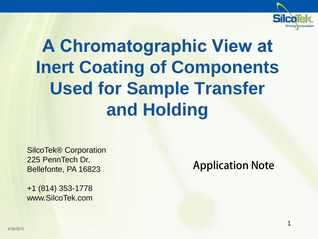

# **A Chromatographic View at Inert Coating of Components Used for Sample Transfer and Holding**

SilcoTek® Corporation 225 PennTech Dr. Bellefonte, PA 16823

+1 (814) 353-1778 www.SilcoTek.com Application Note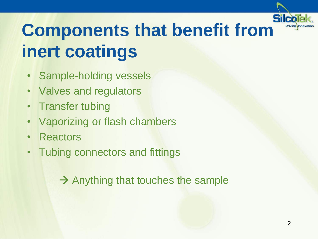

# **Components that benefit from inert coatings**

- Sample-holding vessels
- Valves and regulators
- Transfer tubing
- Vaporizing or flash chambers
- Reactors
- Tubing connectors and fittings

 $\rightarrow$  Anything that touches the sample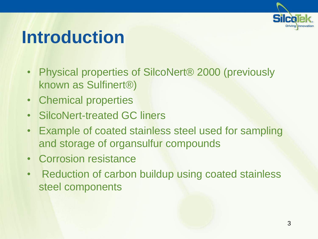

#### **Introduction**

- Physical properties of SilcoNert® 2000 (previously known as Sulfinert®)
- Chemical properties
- SilcoNert-treated GC liners
- Example of coated stainless steel used for sampling and storage of organsulfur compounds
- Corrosion resistance
- Reduction of carbon buildup using coated stainless steel components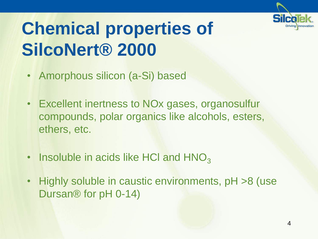

# **Chemical properties of SilcoNert® 2000**

- Amorphous silicon (a-Si) based
- Excellent inertness to NOx gases, organosulfur compounds, polar organics like alcohols, esters, ethers, etc.
- $\cdot$  Insoluble in acids like HCI and HNO<sub>3</sub>
- Highly soluble in caustic environments, pH >8 (use Dursan® for pH 0-14)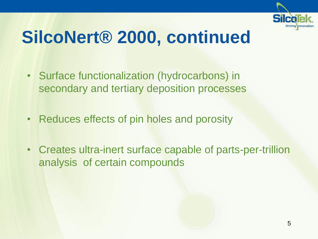

#### **SilcoNert® 2000, continued**

- Surface functionalization (hydrocarbons) in secondary and tertiary deposition processes
- Reduces effects of pin holes and porosity
- Creates ultra-inert surface capable of parts-per-trillion analysis of certain compounds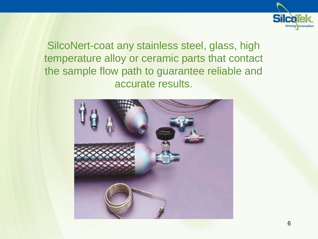

SilcoNert-coat any stainless steel, glass, high temperature alloy or ceramic parts that contact the sample flow path to guarantee reliable and accurate results.

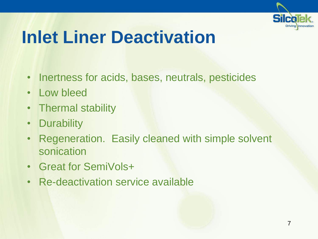

#### **Inlet Liner Deactivation**

- Inertness for acids, bases, neutrals, pesticides
- Low bleed
- Thermal stability
- Durability
- Regeneration. Easily cleaned with simple solvent sonication
- Great for SemiVols+
- Re-deactivation service available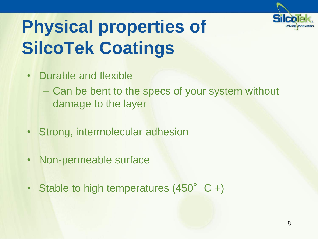

# **Physical properties of SilcoTek Coatings**

- Durable and flexible
	- Can be bent to the specs of your system without damage to the layer
- Strong, intermolecular adhesion
- Non-permeable surface
- Stable to high temperatures  $(450^{\circ} \text{ C} +)$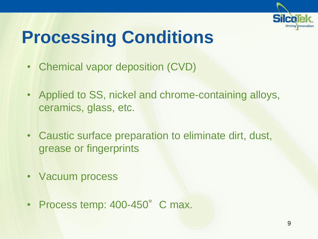

#### **Processing Conditions**

- Chemical vapor deposition (CVD)
- Applied to SS, nickel and chrome-containing alloys, ceramics, glass, etc.
- Caustic surface preparation to eliminate dirt, dust, grease or fingerprints
- Vacuum process
- Process temp: 400-450°C max.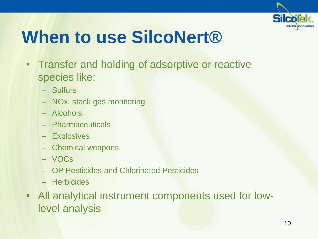

#### **When to use SilcoNert®**

- Transfer and holding of adsorptive or reactive species like:
	- Sulfurs
	- NOx, stack gas monitoring
	- Alcohols
	- Pharmaceuticals
	- Explosives
	- Chemical weapons
	- VOCs
	- OP Pesticides and Chlorinated Pesticides
	- Herbicides
- All analytical instrument components used for lowlevel analysis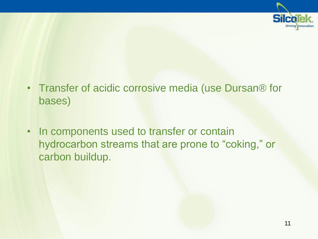

- Transfer of acidic corrosive media (use Dursan® for bases)
- In components used to transfer or contain hydrocarbon streams that are prone to "coking," or carbon buildup.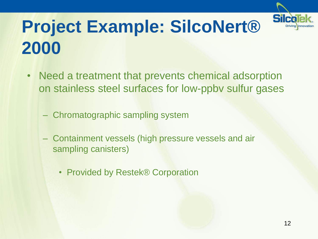

# **Project Example: SilcoNert® 2000**

- Need a treatment that prevents chemical adsorption on stainless steel surfaces for low-ppbv sulfur gases
	- Chromatographic sampling system
	- Containment vessels (high pressure vessels and air sampling canisters)
		- Provided by Restek® Corporation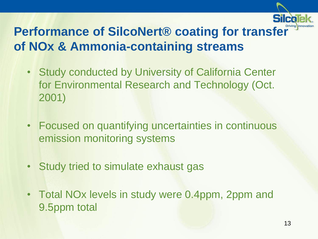

#### **Performance of SilcoNert® coating for transfer of NOx & Ammonia-containing streams**

- Study conducted by University of California Center for Environmental Research and Technology (Oct. 2001)
- Focused on quantifying uncertainties in continuous emission monitoring systems
- Study tried to simulate exhaust gas
- Total NOx levels in study were 0.4ppm, 2ppm and 9.5ppm total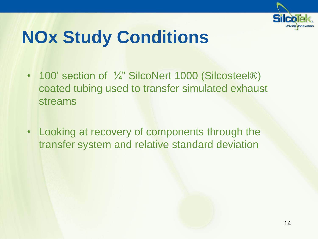

### **NOx Study Conditions**

- 100' section of  $\frac{1}{4}$ " SilcoNert 1000 (Silcosteel®) coated tubing used to transfer simulated exhaust streams
- Looking at recovery of components through the transfer system and relative standard deviation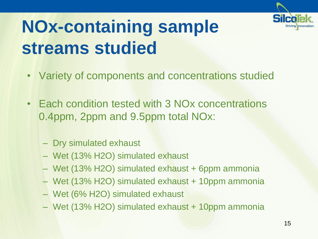

# **NOx-containing sample streams studied**

- Variety of components and concentrations studied
- Each condition tested with 3 NOx concentrations 0.4ppm, 2ppm and 9.5ppm total NOx:
	- Dry simulated exhaust
	- Wet (13% H2O) simulated exhaust
	- Wet (13% H2O) simulated exhaust + 6ppm ammonia
	- Wet (13% H2O) simulated exhaust + 10ppm ammonia
	- Wet (6% H2O) simulated exhaust
	- Wet (13% H2O) simulated exhaust + 10ppm ammonia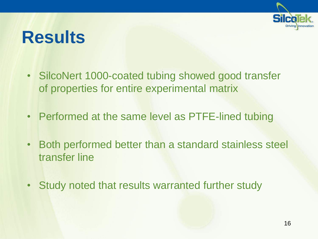

#### **Results**

- SilcoNert 1000-coated tubing showed good transfer of properties for entire experimental matrix
- Performed at the same level as PTFE-lined tubing
- Both performed better than a standard stainless steel transfer line
- Study noted that results warranted further study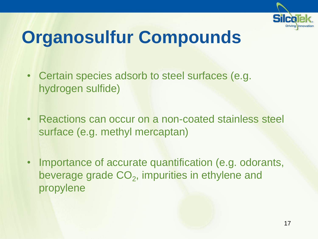

# **Organosulfur Compounds**

- Certain species adsorb to steel surfaces (e.g. hydrogen sulfide)
- Reactions can occur on a non-coated stainless steel surface (e.g. methyl mercaptan)
- Importance of accurate quantification (e.g. odorants, beverage grade  $CO<sub>2</sub>$ , impurities in ethylene and propylene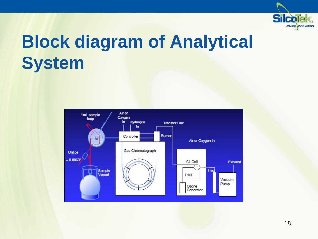

#### **Block diagram of Analytical System**

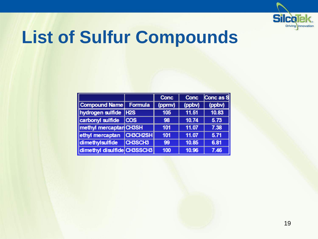

#### **List of Sulfur Compounds**

|                             |                 | <b>Conc</b> | <b>Conc</b> | Conc as S |
|-----------------------------|-----------------|-------------|-------------|-----------|
| Compound Name               | Formula         | (ppmv)      | (ppbv)      | (ppbv)    |
| hydrogen sulfide            | <b>H2S</b>      | 105         | 11.51       | 10.83     |
| carbonyl sulfide            | <b>COS</b>      | 98          | 10.74       | 5.73      |
| methyl mercaptan CH3SH      |                 | 101         | 11.07       | 7.38      |
| ethyl mercaptan             | <b>CH3CH2SH</b> | 101         | 11.07       | 5.71      |
| dimethylsulfide             | CH3SCH3         | 99          | 10.85       | 6.81      |
| dimethyl disulfide CH3SSCH3 |                 | 100         | 10.96       | 7.46      |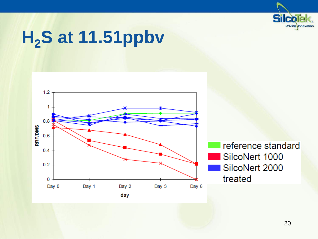

### **H2S at 11.51ppbv**

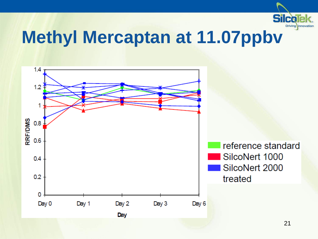

#### **Methyl Mercaptan at 11.07ppbv**

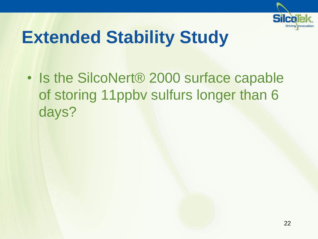

#### **Extended Stability Study**

• Is the SilcoNert<sup>®</sup> 2000 surface capable of storing 11ppbv sulfurs longer than 6 days?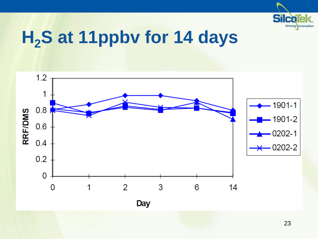

#### **H2S at 11ppbv for 14 days**

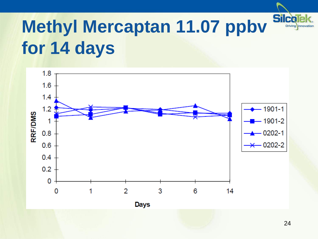

# **Methyl Mercaptan 11.07 ppbv for 14 days**

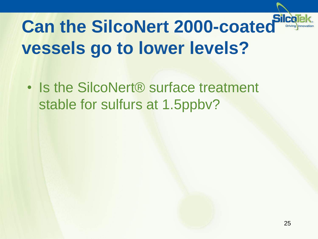

# **Can the SilcoNert 2000-coated vessels go to lower levels?**

• Is the SilcoNert<sup>®</sup> surface treatment stable for sulfurs at 1.5ppbv?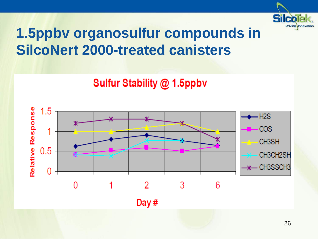

#### **1.5ppbv organosulfur compounds in SilcoNert 2000-treated canisters**

#### **Sulfur Stability @ 1.5ppbv**

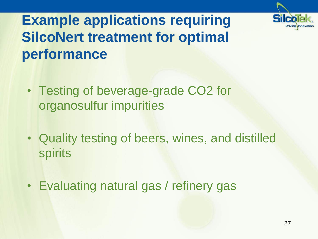

#### **Example applications requiring SilcoNert treatment for optimal performance**

- Testing of beverage-grade CO2 for organosulfur impurities
- Quality testing of beers, wines, and distilled spirits
- Evaluating natural gas / refinery gas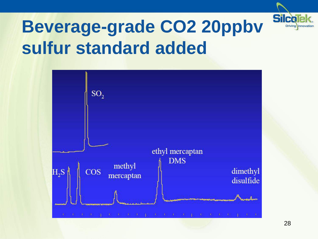

#### **Beverage-grade CO2 20ppbv sulfur standard added**

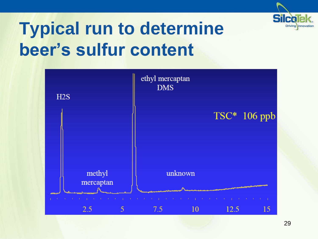

### **Typical run to determine beer's sulfur content**

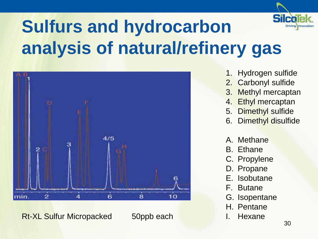

# **Sulfurs and hydrocarbon analysis of natural/refinery gas**



Rt-XL Sulfur Micropacked 50ppb each I. Hexane

- 1. Hydrogen sulfide
- 2. Carbonyl sulfide
- 3. Methyl mercaptan
- 4. Ethyl mercaptan
- 5. Dimethyl sulfide
- 6. Dimethyl disulfide
- A. Methane
- B. Ethane
- C. Propylene
- D. Propane
- E. Isobutane
- F. Butane
- G. Isopentane
- H. Pentane
-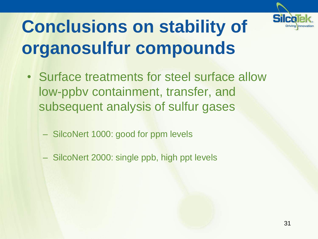

# **Conclusions on stability of organosulfur compounds**

- Surface treatments for steel surface allow low-ppbv containment, transfer, and subsequent analysis of sulfur gases
	- SilcoNert 1000: good for ppm levels
	- SilcoNert 2000: single ppb, high ppt levels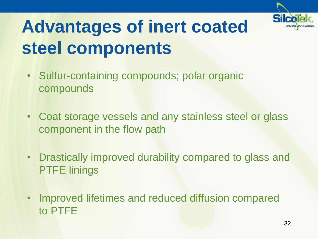

# **Advantages of inert coated steel components**

- Sulfur-containing compounds; polar organic compounds
- Coat storage vessels and any stainless steel or glass component in the flow path
- Drastically improved durability compared to glass and PTFE linings
- Improved lifetimes and reduced diffusion compared to PTFE